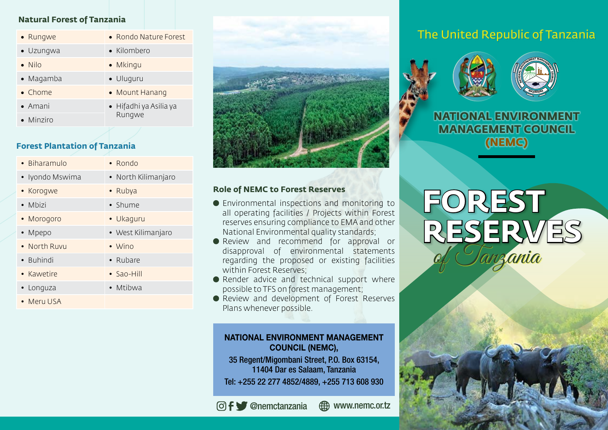# **Natural Forest of Tanzania**

| • Rungwe          | • Rondo Nature Forest                    |
|-------------------|------------------------------------------|
| • Uzungwa         | • Kilombero                              |
| $\bullet$ Nilo    | • Mkingu                                 |
| • Magamba         | • Uluguru                                |
| • Chome           | • Mount Hanang                           |
| $\bullet$ Amani   | $\bullet$ Hifadhi ya Asilia ya<br>Rungwe |
| $\bullet$ Minziro |                                          |

# **Forest Plantation of Tanzania**

| $\bullet$ Biharamulo | $\bullet$ Rondo     |
|----------------------|---------------------|
| • Iyondo Mswima      | • North Kilimanjaro |
| • Korogwe            | • Rubya             |
| $\bullet$ Mbizi      | • Shume             |
| • Morogoro           | • Ukaquru           |
| • Mpepo              | • West Kilimanjaro  |
| • North Ruvu         | $\bullet$ Wino      |
| • Buhindi            | • Rubare            |
| • Kawetire           | • Sao-Hill          |
| • Longuza            | • Mtibwa            |
| • MerulJSA           |                     |



## **Role of NEMC to Forest Reserves**

- Environmental inspections and monitoring to all operating facilities / Projects within Forest reserves ensuring compliance to EMA and other National Environmental quality standards;
- Review and recommend for approval or disapproval of environmental statements regarding the proposed or existing facilities within Forest Reserves;
- Render advice and technical support where possible to TFS on forest management;
- Review and development of Forest Reserves Plans whenever possible.

# NATIONAL ENVIRONMENT MANAGEMENT COUNCIL (NEMC),

35 Regent/Migombani Street, P.O. Box 63154, 11404 Dar es Salaam, Tanzania

Tel: +255 22 277 4852/4889, +255 713 608 930

@nemctanzania www.nemc.or.tz

# The United Republic of Tanzania





**NATIONAL ENVIRONMENT MANAGEMENT COUNCIL (NEMC)**